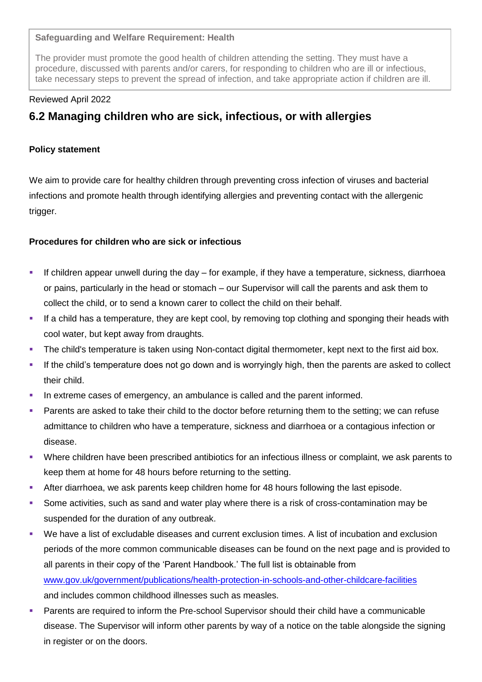## **Safeguarding and Welfare Requirement: Health**

The provider must promote the good health of children attending the setting. They must have a procedure, discussed with parents and/or carers, for responding to children who are ill or infectious, take necessary steps to prevent the spread of infection, and take appropriate action if children are ill.

#### Reviewed April 2022

# **6.2 Managing children who are sick, infectious, or with allergies**

## **Policy statement**

We aim to provide care for healthy children through preventing cross infection of viruses and bacterial infections and promote health through identifying allergies and preventing contact with the allergenic trigger.

## **Procedures for children who are sick or infectious**

- If children appear unwell during the day for example, if they have a temperature, sickness, diarrhoea or pains, particularly in the head or stomach – our Supervisor will call the parents and ask them to collect the child, or to send a known carer to collect the child on their behalf.
- If a child has a temperature, they are kept cool, by removing top clothing and sponging their heads with cool water, but kept away from draughts.
- The child's temperature is taken using Non-contact digital thermometer, kept next to the first aid box.
- If the child's temperature does not go down and is worryingly high, then the parents are asked to collect their child.
- In extreme cases of emergency, an ambulance is called and the parent informed.
- Parents are asked to take their child to the doctor before returning them to the setting; we can refuse admittance to children who have a temperature, sickness and diarrhoea or a contagious infection or disease.
- Where children have been prescribed antibiotics for an infectious illness or complaint, we ask parents to keep them at home for 48 hours before returning to the setting.
- After diarrhoea, we ask parents keep children home for 48 hours following the last episode.
- Some activities, such as sand and water play where there is a risk of cross-contamination may be suspended for the duration of any outbreak.
- We have a list of excludable diseases and current exclusion times. A list of incubation and exclusion periods of the more common communicable diseases can be found on the next page and is provided to all parents in their copy of the 'Parent Handbook.' The full list is obtainable from [www.gov.uk/government/publications/health-protection-in-schools-and-other-childcare-facilities](about:blank) and includes common childhood illnesses such as measles.
- Parents are required to inform the Pre-school Supervisor should their child have a communicable disease. The Supervisor will inform other parents by way of a notice on the table alongside the signing in register or on the doors.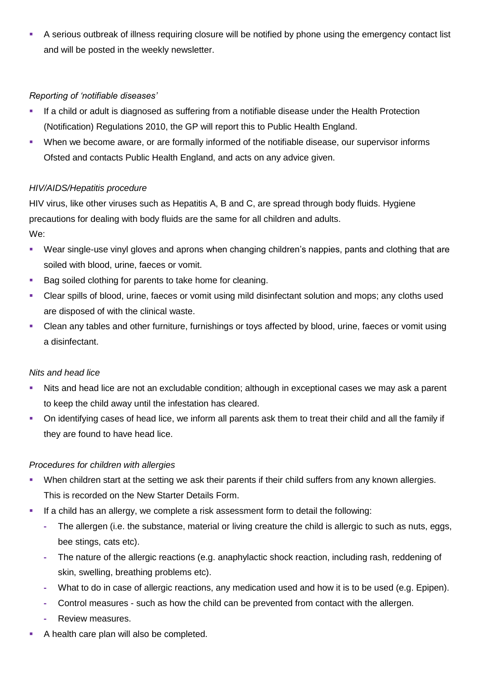A serious outbreak of illness requiring closure will be notified by phone using the emergency contact list and will be posted in the weekly newsletter.

## *Reporting of 'notifiable diseases'*

- If a child or adult is diagnosed as suffering from a notifiable disease under the Health Protection (Notification) Regulations 2010, the GP will report this to Public Health England.
- When we become aware, or are formally informed of the notifiable disease, our supervisor informs Ofsted and contacts Public Health England, and acts on any advice given.

## *HIV/AIDS/Hepatitis procedure*

HIV virus, like other viruses such as Hepatitis A, B and C, are spread through body fluids. Hygiene precautions for dealing with body fluids are the same for all children and adults.

We:

- **•** Wear single-use vinyl gloves and aprons when changing children's nappies, pants and clothing that are soiled with blood, urine, faeces or vomit.
- Bag soiled clothing for parents to take home for cleaning.
- Clear spills of blood, urine, faeces or vomit using mild disinfectant solution and mops; any cloths used are disposed of with the clinical waste.
- Clean any tables and other furniture, furnishings or toys affected by blood, urine, faeces or vomit using a disinfectant.

## *Nits and head lice*

- Nits and head lice are not an excludable condition; although in exceptional cases we may ask a parent to keep the child away until the infestation has cleared.
- On identifying cases of head lice, we inform all parents ask them to treat their child and all the family if they are found to have head lice.

## *Procedures for children with allergies*

- When children start at the setting we ask their parents if their child suffers from any known allergies. This is recorded on the New Starter Details Form.
- **EXECT** If a child has an allergy, we complete a risk assessment form to detail the following:
	- **-** The allergen (i.e. the substance, material or living creature the child is allergic to such as nuts, eggs, bee stings, cats etc).
	- **-** The nature of the allergic reactions (e.g. anaphylactic shock reaction, including rash, reddening of skin, swelling, breathing problems etc).
	- **-** What to do in case of allergic reactions, any medication used and how it is to be used (e.g. Epipen).
	- **-** Control measures such as how the child can be prevented from contact with the allergen.
	- **-** Review measures.
- A health care plan will also be completed.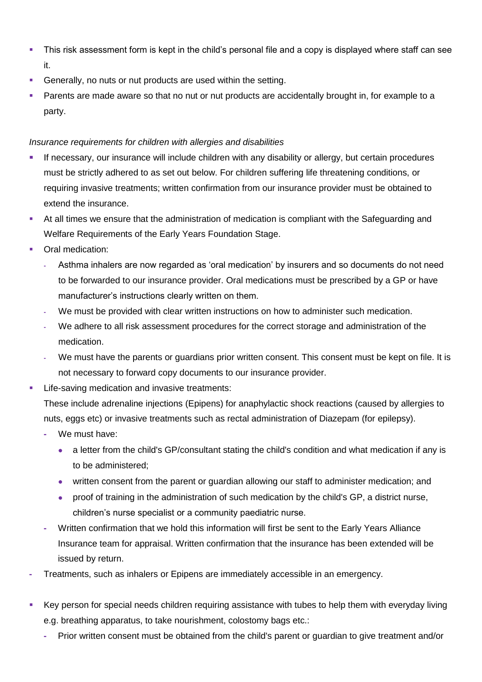- This risk assessment form is kept in the child's personal file and a copy is displayed where staff can see it.
- Generally, no nuts or nut products are used within the setting.
- Parents are made aware so that no nut or nut products are accidentally brought in, for example to a party.

## *Insurance requirements for children with allergies and disabilities*

- **EXTESS** If necessary, our insurance will include children with any disability or allergy, but certain procedures must be strictly adhered to as set out below. For children suffering life threatening conditions, or requiring invasive treatments; written confirmation from our insurance provider must be obtained to extend the insurance.
- At all times we ensure that the administration of medication is compliant with the Safeguarding and Welfare Requirements of the Early Years Foundation Stage.
- Oral medication:
	- **-** Asthma inhalers are now regarded as 'oral medication' by insurers and so documents do not need to be forwarded to our insurance provider. Oral medications must be prescribed by a GP or have manufacturer's instructions clearly written on them.
	- **-** We must be provided with clear written instructions on how to administer such medication.
	- **-** We adhere to all risk assessment procedures for the correct storage and administration of the medication.
	- **-** We must have the parents or guardians prior written consent. This consent must be kept on file. It is not necessary to forward copy documents to our insurance provider.
- **EXECTE:** Life-saving medication and invasive treatments:

These include adrenaline injections (Epipens) for anaphylactic shock reactions (caused by allergies to nuts, eggs etc) or invasive treatments such as rectal administration of Diazepam (for epilepsy).

- **-** We must have:
	- a letter from the child's GP/consultant stating the child's condition and what medication if any is to be administered;
	- written consent from the parent or guardian allowing our staff to administer medication; and
	- proof of training in the administration of such medication by the child's GP, a district nurse, children's nurse specialist or a community paediatric nurse.
- **-** Written confirmation that we hold this information will first be sent to the Early Years Alliance Insurance team for appraisal. Written confirmation that the insurance has been extended will be issued by return.
- **-** Treatments, such as inhalers or Epipens are immediately accessible in an emergency.
- Key person for special needs children requiring assistance with tubes to help them with everyday living e.g. breathing apparatus, to take nourishment, colostomy bags etc.:
	- **-** Prior written consent must be obtained from the child's parent or guardian to give treatment and/or